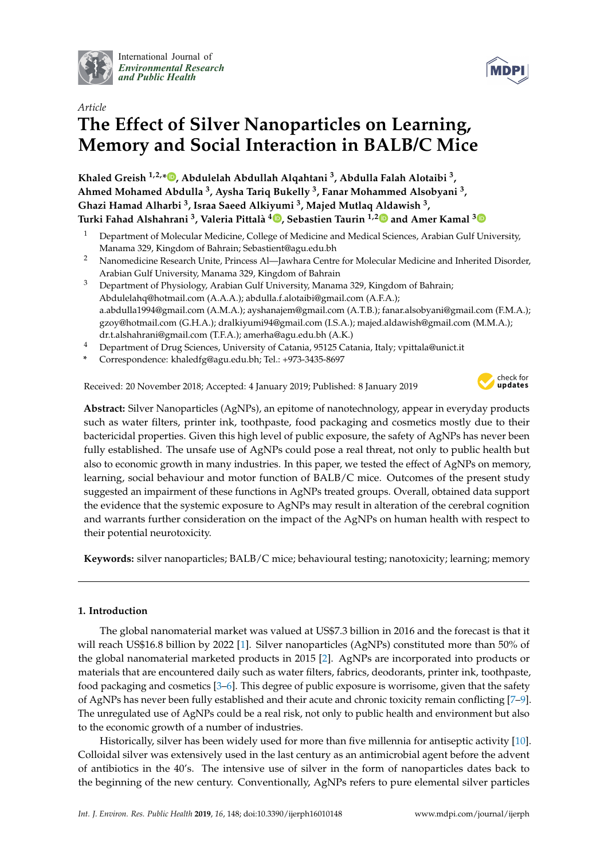

International Journal of *[Environmental Research](http://www.mdpi.com/journal/ijerph) and Public Health*



# *Article* **The Effect of Silver Nanoparticles on Learning, Memory and Social Interaction in BALB/C Mice**

**Khaled Greish 1,2,[\\*](https://orcid.org/0000-0002-0787-7070) , Abdulelah Abdullah Alqahtani <sup>3</sup> , Abdulla Falah Alotaibi <sup>3</sup> , Ahmed Mohamed Abdulla <sup>3</sup> , Aysha Tariq Bukelly <sup>3</sup> , Fanar Mohammed Alsobyani <sup>3</sup> , Ghazi Hamad Alharbi <sup>3</sup> , Israa Saeed Alkiyumi <sup>3</sup> , Majed Mutlaq Aldawish <sup>3</sup> , Turki Fahad Alshahrani <sup>3</sup> , Valeria Pittalà 4 [,](https://orcid.org/0000-0003-1856-0308) Sebastien Taurin 1,[2](https://orcid.org/0000-0003-2167-5253) and Amer Kamal [3](https://orcid.org/0000-0002-0545-0815)**

- <sup>1</sup> Department of Molecular Medicine, College of Medicine and Medical Sciences, Arabian Gulf University, Manama 329, Kingdom of Bahrain; Sebastient@agu.edu.bh
- <sup>2</sup> Nanomedicine Research Unite, Princess Al—Jawhara Centre for Molecular Medicine and Inherited Disorder, Arabian Gulf University, Manama 329, Kingdom of Bahrain
- <sup>3</sup> Department of Physiology, Arabian Gulf University, Manama 329, Kingdom of Bahrain; Abdulelahq@hotmail.com (A.A.A.); abdulla.f.alotaibi@gmail.com (A.F.A.); a.abdulla1994@gmail.com (A.M.A.); ayshanajem@gmail.com (A.T.B.); fanar.alsobyani@gmail.com (F.M.A.); gzoy@hotmail.com (G.H.A.); dralkiyumi94@gmail.com (I.S.A.); majed.aldawish@gmail.com (M.M.A.); dr.t.alshahrani@gmail.com (T.F.A.); amerha@agu.edu.bh (A.K.)
- <sup>4</sup> Department of Drug Sciences, University of Catania, 95125 Catania, Italy; vpittala@unict.it
- **\*** Correspondence: khaledfg@agu.edu.bh; Tel.: +973-3435-8697

Received: 20 November 2018; Accepted: 4 January 2019; Published: 8 January 2019



**Abstract:** Silver Nanoparticles (AgNPs), an epitome of nanotechnology, appear in everyday products such as water filters, printer ink, toothpaste, food packaging and cosmetics mostly due to their bactericidal properties. Given this high level of public exposure, the safety of AgNPs has never been fully established. The unsafe use of AgNPs could pose a real threat, not only to public health but also to economic growth in many industries. In this paper, we tested the effect of AgNPs on memory, learning, social behaviour and motor function of BALB/C mice. Outcomes of the present study suggested an impairment of these functions in AgNPs treated groups. Overall, obtained data support the evidence that the systemic exposure to AgNPs may result in alteration of the cerebral cognition and warrants further consideration on the impact of the AgNPs on human health with respect to their potential neurotoxicity.

**Keywords:** silver nanoparticles; BALB/C mice; behavioural testing; nanotoxicity; learning; memory

## **1. Introduction**

The global nanomaterial market was valued at US\$7.3 billion in 2016 and the forecast is that it will reach US\$16.8 billion by 2022 [\[1\]](#page-7-0). Silver nanoparticles (AgNPs) constituted more than 50% of the global nanomaterial marketed products in 2015 [\[2\]](#page-7-1). AgNPs are incorporated into products or materials that are encountered daily such as water filters, fabrics, deodorants, printer ink, toothpaste, food packaging and cosmetics [\[3](#page-7-2)[–6\]](#page-7-3). This degree of public exposure is worrisome, given that the safety of AgNPs has never been fully established and their acute and chronic toxicity remain conflicting [\[7–](#page-7-4)[9\]](#page-7-5). The unregulated use of AgNPs could be a real risk, not only to public health and environment but also to the economic growth of a number of industries.

Historically, silver has been widely used for more than five millennia for antiseptic activity [\[10\]](#page-7-6). Colloidal silver was extensively used in the last century as an antimicrobial agent before the advent of antibiotics in the 40's. The intensive use of silver in the form of nanoparticles dates back to the beginning of the new century. Conventionally, AgNPs refers to pure elemental silver particles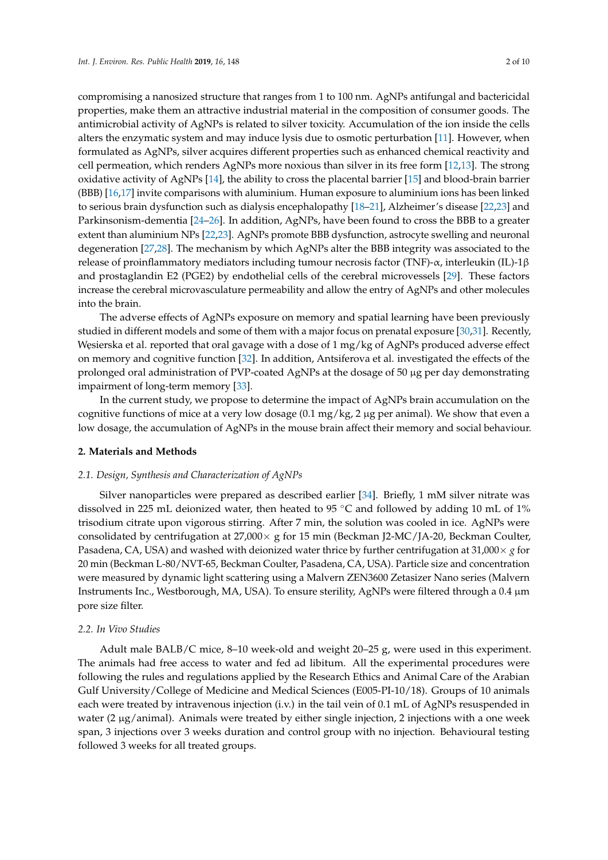compromising a nanosized structure that ranges from 1 to 100 nm. AgNPs antifungal and bactericidal properties, make them an attractive industrial material in the composition of consumer goods. The antimicrobial activity of AgNPs is related to silver toxicity. Accumulation of the ion inside the cells alters the enzymatic system and may induce lysis due to osmotic perturbation [\[11\]](#page-7-7). However, when formulated as AgNPs, silver acquires different properties such as enhanced chemical reactivity and cell permeation, which renders AgNPs more noxious than silver in its free form [\[12](#page-7-8)[,13\]](#page-8-0). The strong oxidative activity of AgNPs [\[14\]](#page-8-1), the ability to cross the placental barrier [\[15\]](#page-8-2) and blood-brain barrier (BBB) [\[16](#page-8-3)[,17\]](#page-8-4) invite comparisons with aluminium. Human exposure to aluminium ions has been linked to serious brain dysfunction such as dialysis encephalopathy [\[18](#page-8-5)[–21\]](#page-8-6), Alzheimer's disease [\[22](#page-8-7)[,23\]](#page-8-8) and Parkinsonism-dementia [\[24–](#page-8-9)[26\]](#page-8-10). In addition, AgNPs, have been found to cross the BBB to a greater extent than aluminium NPs [\[22](#page-8-7)[,23\]](#page-8-8). AgNPs promote BBB dysfunction, astrocyte swelling and neuronal degeneration [\[27,](#page-8-11)[28\]](#page-8-12). The mechanism by which AgNPs alter the BBB integrity was associated to the release of proinflammatory mediators including tumour necrosis factor (TNF)- $\alpha$ , interleukin (IL)-1β and prostaglandin E2 (PGE2) by endothelial cells of the cerebral microvessels [\[29\]](#page-8-13). These factors increase the cerebral microvasculature permeability and allow the entry of AgNPs and other molecules into the brain.

The adverse effects of AgNPs exposure on memory and spatial learning have been previously studied in different models and some of them with a major focus on prenatal exposure [\[30,](#page-8-14)[31\]](#page-8-15). Recently, Węsierska et al. reported that oral gavage with a dose of 1 mg/kg of AgNPs produced adverse effect on memory and cognitive function [\[32\]](#page-9-0). In addition, Antsiferova et al. investigated the effects of the prolonged oral administration of PVP-coated AgNPs at the dosage of 50 µg per day demonstrating impairment of long-term memory [\[33\]](#page-9-1).

In the current study, we propose to determine the impact of AgNPs brain accumulation on the cognitive functions of mice at a very low dosage  $(0.1 \text{ mg/kg}, 2 \text{ µg per animal})$ . We show that even a low dosage, the accumulation of AgNPs in the mouse brain affect their memory and social behaviour.

## **2. Materials and Methods**

## *2.1. Design, Synthesis and Characterization of AgNPs*

Silver nanoparticles were prepared as described earlier [\[34\]](#page-9-2). Briefly, 1 mM silver nitrate was dissolved in 225 mL deionized water, then heated to 95 ◦C and followed by adding 10 mL of 1% trisodium citrate upon vigorous stirring. After 7 min, the solution was cooled in ice. AgNPs were consolidated by centrifugation at  $27,000 \times$  g for 15 min (Beckman J2-MC/JA-20, Beckman Coulter, Pasadena, CA, USA) and washed with deionized water thrice by further centrifugation at 31,000 $\times$  *g* for 20 min (Beckman L-80/NVT-65, Beckman Coulter, Pasadena, CA, USA). Particle size and concentration were measured by dynamic light scattering using a Malvern ZEN3600 Zetasizer Nano series (Malvern Instruments Inc., Westborough, MA, USA). To ensure sterility, AgNPs were filtered through a 0.4 µm pore size filter.

## *2.2. In Vivo Studies*

Adult male BALB/C mice, 8–10 week-old and weight 20–25 g, were used in this experiment. The animals had free access to water and fed ad libitum. All the experimental procedures were following the rules and regulations applied by the Research Ethics and Animal Care of the Arabian Gulf University/College of Medicine and Medical Sciences (E005-PI-10/18). Groups of 10 animals each were treated by intravenous injection (i.v.) in the tail vein of 0.1 mL of AgNPs resuspended in water (2  $\mu$ g/animal). Animals were treated by either single injection, 2 injections with a one week span, 3 injections over 3 weeks duration and control group with no injection. Behavioural testing followed 3 weeks for all treated groups.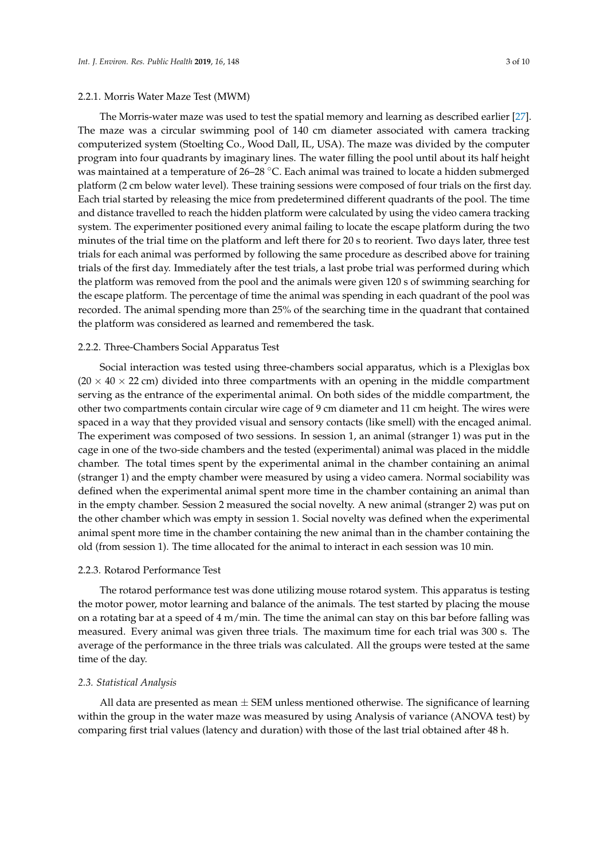## 2.2.1. Morris Water Maze Test (MWM)

The Morris-water maze was used to test the spatial memory and learning as described earlier [\[27\]](#page-8-11).

The maze was a circular swimming pool of 140 cm diameter associated with camera tracking computerized system (Stoelting Co., Wood Dall, IL, USA). The maze was divided by the computer program into four quadrants by imaginary lines. The water filling the pool until about its half height was maintained at a temperature of 26–28 °C. Each animal was trained to locate a hidden submerged platform (2 cm below water level). These training sessions were composed of four trials on the first day. Each trial started by releasing the mice from predetermined different quadrants of the pool. The time and distance travelled to reach the hidden platform were calculated by using the video camera tracking system. The experimenter positioned every animal failing to locate the escape platform during the two minutes of the trial time on the platform and left there for 20 s to reorient. Two days later, three test trials for each animal was performed by following the same procedure as described above for training trials of the first day. Immediately after the test trials, a last probe trial was performed during which the platform was removed from the pool and the animals were given 120 s of swimming searching for the escape platform. The percentage of time the animal was spending in each quadrant of the pool was recorded. The animal spending more than 25% of the searching time in the quadrant that contained the platform was considered as learned and remembered the task.

#### 2.2.2. Three-Chambers Social Apparatus Test

Social interaction was tested using three-chambers social apparatus, which is a Plexiglas box  $(20 \times 40 \times 22$  cm) divided into three compartments with an opening in the middle compartment serving as the entrance of the experimental animal. On both sides of the middle compartment, the other two compartments contain circular wire cage of 9 cm diameter and 11 cm height. The wires were spaced in a way that they provided visual and sensory contacts (like smell) with the encaged animal. The experiment was composed of two sessions. In session 1, an animal (stranger 1) was put in the cage in one of the two-side chambers and the tested (experimental) animal was placed in the middle chamber. The total times spent by the experimental animal in the chamber containing an animal (stranger 1) and the empty chamber were measured by using a video camera. Normal sociability was defined when the experimental animal spent more time in the chamber containing an animal than in the empty chamber. Session 2 measured the social novelty. A new animal (stranger 2) was put on the other chamber which was empty in session 1. Social novelty was defined when the experimental animal spent more time in the chamber containing the new animal than in the chamber containing the old (from session 1). The time allocated for the animal to interact in each session was 10 min.

#### 2.2.3. Rotarod Performance Test

The rotarod performance test was done utilizing mouse rotarod system. This apparatus is testing the motor power, motor learning and balance of the animals. The test started by placing the mouse on a rotating bar at a speed of  $4 \text{ m/min}$ . The time the animal can stay on this bar before falling was measured. Every animal was given three trials. The maximum time for each trial was 300 s. The average of the performance in the three trials was calculated. All the groups were tested at the same time of the day.

#### *2.3. Statistical Analysis*

All data are presented as mean  $\pm$  SEM unless mentioned otherwise. The significance of learning within the group in the water maze was measured by using Analysis of variance (ANOVA test) by comparing first trial values (latency and duration) with those of the last trial obtained after 48 h.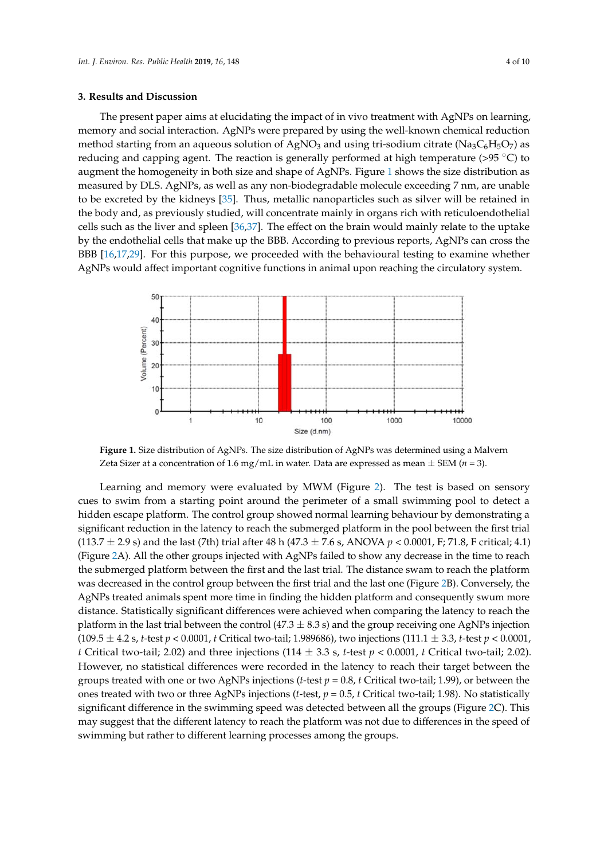#### **3. Results and Discussion**

The present paper aims at elucidating the impact of in vivo treatment with AgNPs on learning, memory and social interaction. AgNPs were prepared by using the well-known chemical reduction method starting from an aqueous solution of AgNO<sub>3</sub> and using tri-sodium citrate (Na<sub>3</sub>C<sub>6</sub>H<sub>5</sub>O<sub>7</sub>) as reducing and capping agent. The reaction is generally performed at high temperature ( $>95 \degree C$ ) to augment the homogeneity in both size and shape of AgNPs. Figure [1](#page-3-0) shows the size distribution as measured by DLS. AgNPs, as well as any non-biodegradable molecule exceeding 7 nm, are unable to be excreted by the kidneys  $[35]$ . Thus, metallic nanoparticles such as silver will be retained in the excreted by the kidneys  $[35]$ . Thus, metallic nanoparticles such as silver will be retained in the body and, as previously studied, will concentrate mainly in organs rich with reticuloendothelial the body and, as previously studied, will concentrate mainly in organs rich with reticuloendothelial cells such as the liver and spleen [\[36](#page-9-4)[,37\]](#page-9-5). The effect on the brain would mainly relate to the uptake cells such as the liver and spleen [36,37]. The effect on the brain would mainly relate to the uptake by the endothelial cells that make up the BBB. According to previous reports, AgNPs can cross the  $\frac{1}{2}$  are entertaint can anti-matte up the 333 receptang to proceed reports, right is east cross the BBB [\[16](#page-8-3)[,17](#page-8-4)[,29\]](#page-8-13). For this purpose, we proceeded with the behavioural testing to examine whether AgNPs would affect important cognitive functions in animal upon reaching the circulatory system. would affect important cognitive functions in animal upon reaching the circulatory system.

<span id="page-3-0"></span>

**Figure 1.** Size distribution of  $\mathbf{1}$  (model in such as Distribution of AgNPs was determined using a Malvern  $\mathbf{1}$  (model) Zeta Sizer at a concentration of 1.6 mg/mL in water. Data are expressed as mean  $\pm$  SEM (*n* = 3). **Figure 1.** Size distribution of AgNPs. The size distribution of AgNPs was determined using a Malvern

cues to swim from a starting point around the perimeter of a small swimming pool to detect a hidden escape platform. The control group showed normal learning behaviour by demonstrating a significant reduction in the latency to reach the submerged platform in the pool between the first trial (113.7  $\pm$  2.9 s) and the last (7th) trial after 48 h (47.3  $\pm$  7.6 s, ANOVA *p* < 0.0001, F; 71.8, F critical; 4.1) (Figure [2A](#page-4-0)). All the other groups injected with AgNPs failed to show any decrease in the time to reach the submerged platform between the first and the last trial. The distance swam to reach the platform was decreased in the control group between the first trial and the last one (Figure [2B](#page-4-0)). Conversely, the AgNPs treated animals spent more time in finding the hidden platform and consequently swum more distance. Statistically significant differences were achieved when comparing the latency to reach the platform in the last trial between the control (47.3  $\pm$  8.3 s) and the group receiving one AgNPs injection  $(109.5 \pm 4.2 \text{ s}, t\text{-test } p < 0.0001, t \text{ Critical two-tail}; 1.989686)$ , two injections  $(111.1 \pm 3.3, t\text{-test } p < 0.0001, t \text{ critical two-tail}; 1.989686)$ *t* Critical two-tail; 2.02) and three injections (114  $\pm$  3.3 s, *t*-test  $p < 0.0001$ , *t* Critical two-tail; 2.02). However, no statistical differences were recorded in the latency to reach their target between the groups treated with one or two AgNPs injections (*t*-test  $p = 0.8$ , *t* Critical two-tail; 1.99), or between the ones treated with two or three AgNPs injections (*t*-test,  $p = 0.5$ , *t* Critical two-tail; 1.98). No statistically significant difference in the swimming speed was detected between all the groups (Figure [2C](#page-4-0)). This may suggest that the different latency to reach the platform was not due to differences in the speed of swimming but rather to different learning processes among the groups.  $\sigma$  such the speed of swimming processes and  $\sigma$  and  $\sigma$ Learning and memory were evaluated by MWM (Figure [2\)](#page-4-0). The test is based on sensory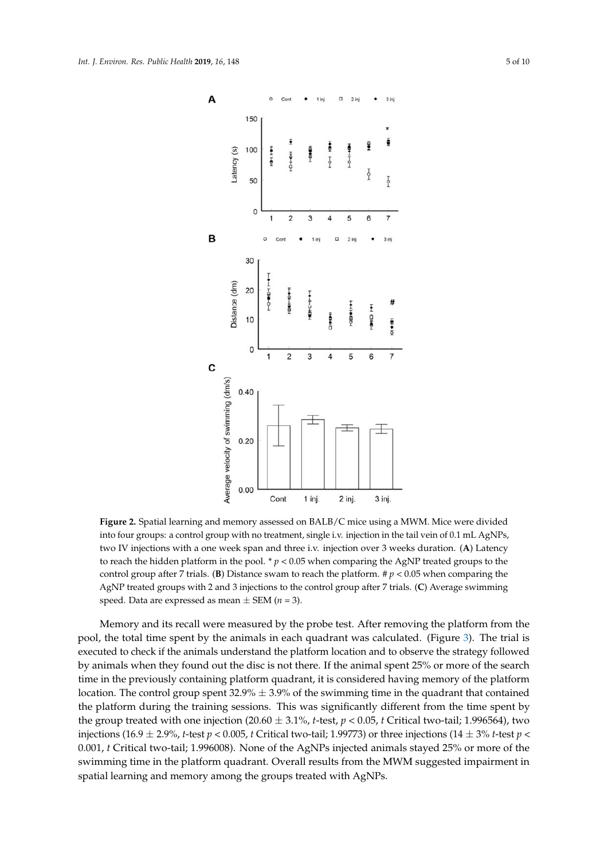<span id="page-4-0"></span>

**Figure 2.** Spatial learning and memory assessed on BALB/C mice using a MWM. Mice were divided two IV injections with a one week span and three i.v. injection over 3 weeks duration. (**A**) Latency to reach the hidden platform in the pool. \*  $p < 0.05$  when comparing the AgNP treated groups to the control group after 7 trials. (**B**) Distance swam to reach the platform.  $\sharp p < 0.05$  when comparing the AgNP treated groups with 2 and 3 injections to the control group after 7 trials. (**C**) Average swimming  $\frac{1}{2}$  speed. Data are expressed as mean  $\pm$  SEM (*n* = 3). the AgNP treated groups with 2 and 3 injections to the control group after 7 trials. (**C**) Average **Figure 2.** Spatial learning and memory assessed on BALB/C mice using a MWM. Mice were divided into four groups: a control group with no treatment, single i.v. injection in the tail vein of 0.1 mL AgNPs,

Memory and its recall were measured by the probe test. After removing the platform from the executed to check if the animals understand the platform location and to observe the strategy followed by animals when they found out the disc is not there. If the animal spent 25% or more of the search time in the previously containing platform quadrant, it is considered having memory of the platform location. The control group spent  $32.9\% \pm 3.9\%$  of the swimming time in the quadrant that contained the platform during the training sessions. This was significantly different from the time spent by the group treated with one injection (20.60  $\pm$  3.1%, *t*-test, *p* < 0.05, *t* Critical two-tail; 1.996564), two injections (16.9  $\pm$  2.9%, *t*-test  $p < 0.005$ , *t* Critical two-tail; 1.99773) or three injections (14  $\pm$  3% *t*-test *p* < 0.001, t Critical two-tail; 1.996008). None of the AgNPs injected animals stayed 25% or more of the swimming time in the platform quadrant. Overall results from the MWM suggested impairment in spatial learning and memory among the groups treated with AgNPs.  $\sigma$  swimming time in the platform  $\sigma$ pool, the total time spent by the animals in each quadrant was calculated. (Figure [3\)](#page-5-0). The trial is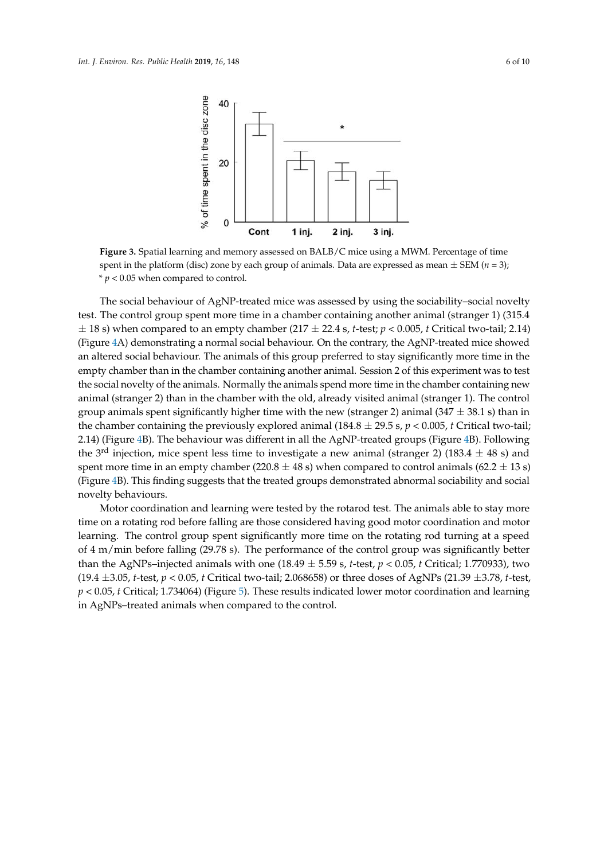\* *p* < 0.05 when compared to control.

 $A_{\rm{max}}$  and  $A_{\rm{max}}$  and  $A_{\rm{max}}$  and  $A_{\rm{max}}$  and  $A_{\rm{max}}$ 

<span id="page-5-0"></span>

spent in the platform (disc) zone by each group of animals. Data are expressed as mean  $\pm$  SEM (*n* = 3);  $s'p < 0.05$  when compared to control. **Figure 3.** Spatial learning and memory assessed on BALB/C mice using a MWM. Percentage of time

test. The control group spent more time in a chamber containing another animal (stranger 1) (315.4  $\pm$  18 s) when compared to an empty chamber (217  $\pm$  22.4 s, *t*-test; *p* < 0.005, *t* Critical two-tail; 2.14) (Figure [4A](#page-6-0)) demonstrating a normal social behaviour. On the contrary, the AgNP-treated mice showed an altered social behaviour. The animals of this group preferred to stay significantly more time in the empty chamber than in the chamber containing another animal. Session 2 of this experiment was to test the social novelty of the animals. Normally the animals spend more time in the chamber containing new animal (stranger 2) than in the chamber with the old, already visited animal (stranger 1). The control group animals spent significantly higher time with the new (stranger 2) animal (347  $\pm$  38.1 s) than in the chamber containing the previously explored animal (184.8  $\pm$  29.5 s, *p* < 0.005, *t* Critical two-tail; 2.14) (Figure [4B](#page-6-0)). The behaviour was different in all the AgNP-treated groups (Figure 4B). Following the 3<sup>rd</sup> injection, mice spent less time to investigate a new animal (stranger 2) (183.4  $\pm$  48 s) and spent more time in an empty chamber (220.8  $\pm$  48 s) when compared to control animals (62.2  $\pm$  13 s) (Figure [4B](#page-6-0)). This finding suggests that the treated groups demonstrated abnormal sociability and social novelty behaviours. The social behaviour of AgNP-treated mice was assessed by using the sociability–social novelty

Motor coordination and learning were tested by the rotarod test. The animals able to stay more time on a rotating rod before falling are those considered having good motor coordination and motor learning. The control group spent significantly more time on the rotating rod turning at a speed of 4 m/min before falling (29.78 s). The performance of the control group was significantly better than the AgNPs-injected animals with one (18.49  $\pm$  5.59 s, t-test,  $p < 0.05$ , t Critical; 1.770933), two (19.4 ±3.05, *t*-test,  $p < 0.05$ , *t* Critical two-tail; 2.068658) or three doses of AgNPs (21.39 ±3.78, *t*-test,  $p$  < 0.05, t Critical; 1.734064) (Figure [5\)](#page-6-1). These results indicated lower motor coordination and learning in AgNPs-treated animals when compared to the control.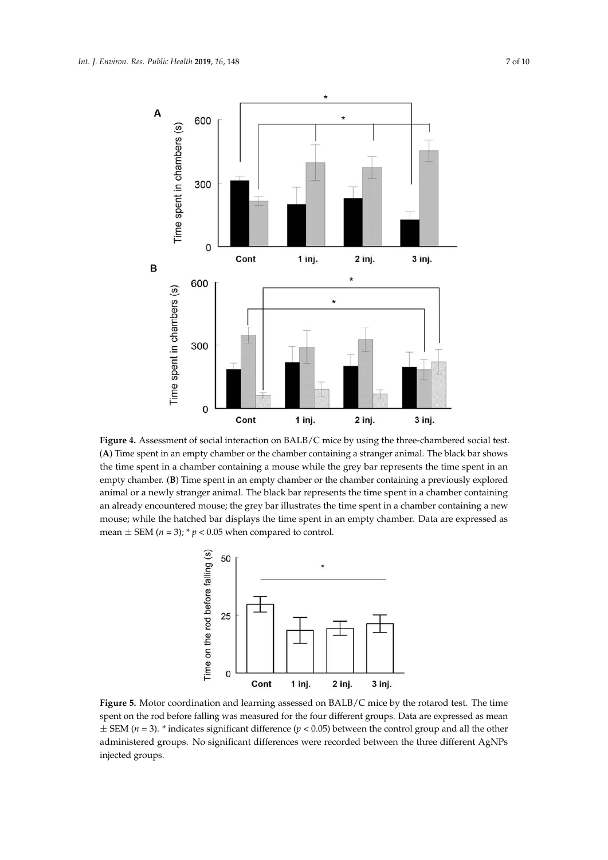<span id="page-6-0"></span>

<span id="page-6-1"></span> $\overrightarrow{A}$ ) Time spent in an empty chamber or the chamber containing a stranger animal. The black bar shows the time spent in a chamber containing a mouse while the grey bar represents the time spent in an shows the time spent in a chamber containing a mouse while the grey bar represents the time spent empty chamber. (**B**) Time spent in an empty chamber or the chamber containing a previously explored animal or a newly stranger animal. The black bar represents the time spent in a chamber containing an already encountered mouse; the grey bar illustrates the time spent in a chamber containing a new mouse; while the hatched bar displays the time spent in an empty chamber. Data are expressed as mean  $\pm$  SEM (*n* = 3); \* *p* < 0.05 when compared to control. **Figure 4.** Assessment of social interaction on BALB/C mice by using the three-chambered social test. **Figure 4.** Assessment of social interaction on BALB/C mice by using the three‐chambered social test.



**Figure 5.** Motor coordination and learning assessed on BALB/C mice by the rotarod test. The time spent on the rod before falling was measured for the four different groups. Data are expressed as in  $\pm$  SEM (*n* = 3). \* indicates significant difference (*p* < 0.05) between the control group and all the other **Figure 5.** Motor coordination and learning assessed on BALB/C mice by the rotarod test. The time **Figure 5.** Motor coordination and learning assessed on BALB/C mice by the rotarod test. The time spent on the rod before falling was measured for the four different groups. Data are expressed as spent on the rod before falling was measured for the four different groups. Data are expressed as mean administered groups. No significant differences were recorded between the three different AgNPs injected groups.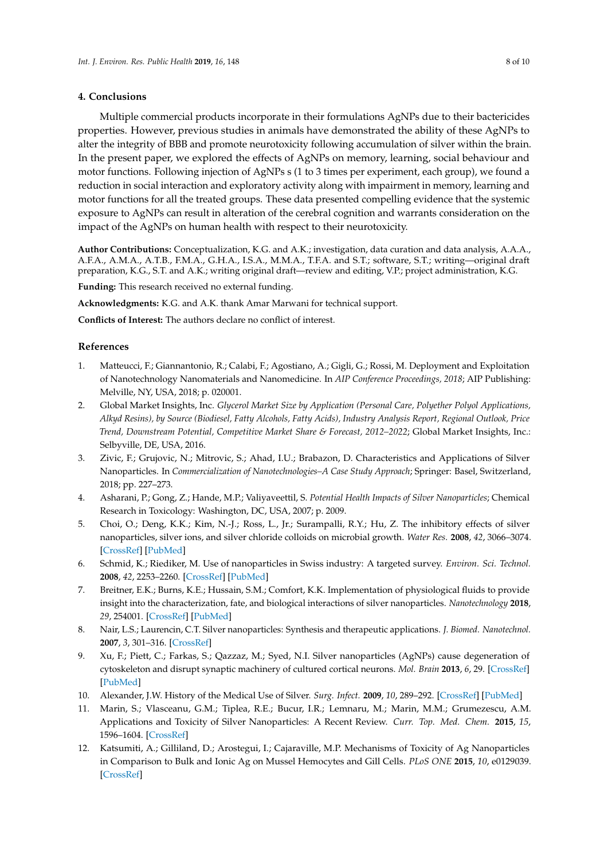## **4. Conclusions**

Multiple commercial products incorporate in their formulations AgNPs due to their bactericides properties. However, previous studies in animals have demonstrated the ability of these AgNPs to alter the integrity of BBB and promote neurotoxicity following accumulation of silver within the brain. In the present paper, we explored the effects of AgNPs on memory, learning, social behaviour and motor functions. Following injection of AgNPs s (1 to 3 times per experiment, each group), we found a reduction in social interaction and exploratory activity along with impairment in memory, learning and motor functions for all the treated groups. These data presented compelling evidence that the systemic exposure to AgNPs can result in alteration of the cerebral cognition and warrants consideration on the impact of the AgNPs on human health with respect to their neurotoxicity.

**Author Contributions:** Conceptualization, K.G. and A.K.; investigation, data curation and data analysis, A.A.A., A.F.A., A.M.A., A.T.B., F.M.A., G.H.A., I.S.A., M.M.A., T.F.A. and S.T.; software, S.T.; writing—original draft preparation, K.G., S.T. and A.K.; writing original draft—review and editing, V.P.; project administration, K.G.

**Funding:** This research received no external funding.

**Acknowledgments:** K.G. and A.K. thank Amar Marwani for technical support.

**Conflicts of Interest:** The authors declare no conflict of interest.

## **References**

- <span id="page-7-0"></span>1. Matteucci, F.; Giannantonio, R.; Calabi, F.; Agostiano, A.; Gigli, G.; Rossi, M. Deployment and Exploitation of Nanotechnology Nanomaterials and Nanomedicine. In *AIP Conference Proceedings, 2018*; AIP Publishing: Melville, NY, USA, 2018; p. 020001.
- <span id="page-7-1"></span>2. Global Market Insights, Inc. *Glycerol Market Size by Application (Personal Care, Polyether Polyol Applications, Alkyd Resins), by Source (Biodiesel, Fatty Alcohols, Fatty Acids), Industry Analysis Report, Regional Outlook, Price Trend, Downstream Potential, Competitive Market Share & Forecast, 2012–2022*; Global Market Insights, Inc.: Selbyville, DE, USA, 2016.
- <span id="page-7-2"></span>3. Zivic, F.; Grujovic, N.; Mitrovic, S.; Ahad, I.U.; Brabazon, D. Characteristics and Applications of Silver Nanoparticles. In *Commercialization of Nanotechnologies–A Case Study Approach*; Springer: Basel, Switzerland, 2018; pp. 227–273.
- 4. Asharani, P.; Gong, Z.; Hande, M.P.; Valiyaveettil, S. *Potential Health Impacts of Silver Nanoparticles*; Chemical Research in Toxicology: Washington, DC, USA, 2007; p. 2009.
- 5. Choi, O.; Deng, K.K.; Kim, N.-J.; Ross, L., Jr.; Surampalli, R.Y.; Hu, Z. The inhibitory effects of silver nanoparticles, silver ions, and silver chloride colloids on microbial growth. *Water Res.* **2008**, *42*, 3066–3074. [\[CrossRef\]](http://dx.doi.org/10.1016/j.watres.2008.02.021) [\[PubMed\]](http://www.ncbi.nlm.nih.gov/pubmed/18359055)
- <span id="page-7-3"></span>6. Schmid, K.; Riediker, M. Use of nanoparticles in Swiss industry: A targeted survey. *Environ. Sci. Technol.* **2008**, *42*, 2253–2260. [\[CrossRef\]](http://dx.doi.org/10.1021/es071818o) [\[PubMed\]](http://www.ncbi.nlm.nih.gov/pubmed/18504950)
- <span id="page-7-4"></span>7. Breitner, E.K.; Burns, K.E.; Hussain, S.M.; Comfort, K.K. Implementation of physiological fluids to provide insight into the characterization, fate, and biological interactions of silver nanoparticles. *Nanotechnology* **2018**, *29*, 254001. [\[CrossRef\]](http://dx.doi.org/10.1088/1361-6528/aabb9d) [\[PubMed\]](http://www.ncbi.nlm.nih.gov/pubmed/29617270)
- 8. Nair, L.S.; Laurencin, C.T. Silver nanoparticles: Synthesis and therapeutic applications. *J. Biomed. Nanotechnol.* **2007**, *3*, 301–316. [\[CrossRef\]](http://dx.doi.org/10.1166/jbn.2007.041)
- <span id="page-7-5"></span>9. Xu, F.; Piett, C.; Farkas, S.; Qazzaz, M.; Syed, N.I. Silver nanoparticles (AgNPs) cause degeneration of cytoskeleton and disrupt synaptic machinery of cultured cortical neurons. *Mol. Brain* **2013**, *6*, 29. [\[CrossRef\]](http://dx.doi.org/10.1186/1756-6606-6-29) [\[PubMed\]](http://www.ncbi.nlm.nih.gov/pubmed/23782671)
- <span id="page-7-6"></span>10. Alexander, J.W. History of the Medical Use of Silver. *Surg. Infect.* **2009**, *10*, 289–292. [\[CrossRef\]](http://dx.doi.org/10.1089/sur.2008.9941) [\[PubMed\]](http://www.ncbi.nlm.nih.gov/pubmed/19566416)
- <span id="page-7-7"></span>11. Marin, S.; Vlasceanu, G.M.; Tiplea, R.E.; Bucur, I.R.; Lemnaru, M.; Marin, M.M.; Grumezescu, A.M. Applications and Toxicity of Silver Nanoparticles: A Recent Review. *Curr. Top. Med. Chem.* **2015**, *15*, 1596–1604. [\[CrossRef\]](http://dx.doi.org/10.2174/1568026615666150414142209)
- <span id="page-7-8"></span>12. Katsumiti, A.; Gilliland, D.; Arostegui, I.; Cajaraville, M.P. Mechanisms of Toxicity of Ag Nanoparticles in Comparison to Bulk and Ionic Ag on Mussel Hemocytes and Gill Cells. *PLoS ONE* **2015**, *10*, e0129039. [\[CrossRef\]](http://dx.doi.org/10.1371/journal.pone.0129039)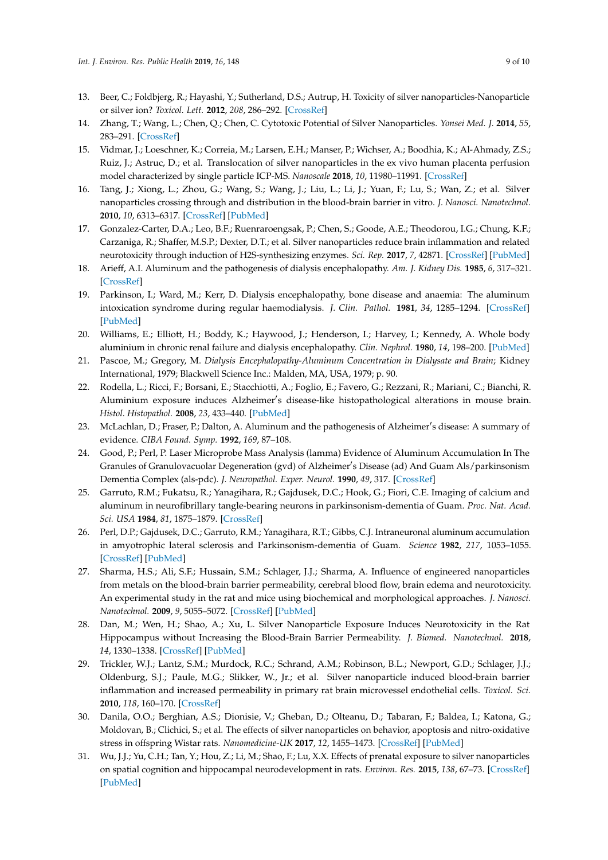- <span id="page-8-0"></span>13. Beer, C.; Foldbjerg, R.; Hayashi, Y.; Sutherland, D.S.; Autrup, H. Toxicity of silver nanoparticles-Nanoparticle or silver ion? *Toxicol. Lett.* **2012**, *208*, 286–292. [\[CrossRef\]](http://dx.doi.org/10.1016/j.toxlet.2011.11.002)
- <span id="page-8-1"></span>14. Zhang, T.; Wang, L.; Chen, Q.; Chen, C. Cytotoxic Potential of Silver Nanoparticles. *Yonsei Med. J.* **2014**, *55*, 283–291. [\[CrossRef\]](http://dx.doi.org/10.3349/ymj.2014.55.2.283)
- <span id="page-8-2"></span>15. Vidmar, J.; Loeschner, K.; Correia, M.; Larsen, E.H.; Manser, P.; Wichser, A.; Boodhia, K.; Al-Ahmady, Z.S.; Ruiz, J.; Astruc, D.; et al. Translocation of silver nanoparticles in the ex vivo human placenta perfusion model characterized by single particle ICP-MS. *Nanoscale* **2018**, *10*, 11980–11991. [\[CrossRef\]](http://dx.doi.org/10.1039/C8NR02096E)
- <span id="page-8-3"></span>16. Tang, J.; Xiong, L.; Zhou, G.; Wang, S.; Wang, J.; Liu, L.; Li, J.; Yuan, F.; Lu, S.; Wan, Z.; et al. Silver nanoparticles crossing through and distribution in the blood-brain barrier in vitro. *J. Nanosci. Nanotechnol.* **2010**, *10*, 6313–6317. [\[CrossRef\]](http://dx.doi.org/10.1166/jnn.2010.2625) [\[PubMed\]](http://www.ncbi.nlm.nih.gov/pubmed/21137724)
- <span id="page-8-4"></span>17. Gonzalez-Carter, D.A.; Leo, B.F.; Ruenraroengsak, P.; Chen, S.; Goode, A.E.; Theodorou, I.G.; Chung, K.F.; Carzaniga, R.; Shaffer, M.S.P.; Dexter, D.T.; et al. Silver nanoparticles reduce brain inflammation and related neurotoxicity through induction of H2S-synthesizing enzymes. *Sci. Rep.* **2017**, *7*, 42871. [\[CrossRef\]](http://dx.doi.org/10.1038/srep42871) [\[PubMed\]](http://www.ncbi.nlm.nih.gov/pubmed/28251989)
- <span id="page-8-5"></span>18. Arieff, A.I. Aluminum and the pathogenesis of dialysis encephalopathy. *Am. J. Kidney Dis.* **1985**, *6*, 317–321. [\[CrossRef\]](http://dx.doi.org/10.1016/S0272-6386(85)80087-1)
- 19. Parkinson, I.; Ward, M.; Kerr, D. Dialysis encephalopathy, bone disease and anaemia: The aluminum intoxication syndrome during regular haemodialysis. *J. Clin. Pathol.* **1981**, *34*, 1285–1294. [\[CrossRef\]](http://dx.doi.org/10.1136/jcp.34.11.1285) [\[PubMed\]](http://www.ncbi.nlm.nih.gov/pubmed/7320226)
- 20. Williams, E.; Elliott, H.; Boddy, K.; Haywood, J.; Henderson, I.; Harvey, I.; Kennedy, A. Whole body aluminium in chronic renal failure and dialysis encephalopathy. *Clin. Nephrol.* **1980**, *14*, 198–200. [\[PubMed\]](http://www.ncbi.nlm.nih.gov/pubmed/6775855)
- <span id="page-8-6"></span>21. Pascoe, M.; Gregory, M. *Dialysis Encephalopathy-Aluminum Concentration in Dialysate and Brain*; Kidney International, 1979; Blackwell Science Inc.: Malden, MA, USA, 1979; p. 90.
- <span id="page-8-7"></span>22. Rodella, L.; Ricci, F.; Borsani, E.; Stacchiotti, A.; Foglio, E.; Favero, G.; Rezzani, R.; Mariani, C.; Bianchi, R. Aluminium exposure induces Alzheimer's disease-like histopathological alterations in mouse brain. *Histol. Histopathol.* **2008**, *23*, 433–440. [\[PubMed\]](http://www.ncbi.nlm.nih.gov/pubmed/18228200)
- <span id="page-8-8"></span>23. McLachlan, D.; Fraser, P.; Dalton, A. Aluminum and the pathogenesis of Alzheimer's disease: A summary of evidence. *CIBA Found. Symp.* **1992**, *169*, 87–108.
- <span id="page-8-9"></span>24. Good, P.; Perl, P. Laser Microprobe Mass Analysis (lamma) Evidence of Aluminum Accumulation In The Granules of Granulovacuolar Degeneration (gvd) of Alzheimer's Disease (ad) And Guam Als/parkinsonism Dementia Complex (als-pdc). *J. Neuropathol. Exper. Neurol.* **1990**, *49*, 317. [\[CrossRef\]](http://dx.doi.org/10.1097/00005072-199005000-00174)
- 25. Garruto, R.M.; Fukatsu, R.; Yanagihara, R.; Gajdusek, D.C.; Hook, G.; Fiori, C.E. Imaging of calcium and aluminum in neurofibrillary tangle-bearing neurons in parkinsonism-dementia of Guam. *Proc. Nat. Acad. Sci. USA* **1984**, *81*, 1875–1879. [\[CrossRef\]](http://dx.doi.org/10.1073/pnas.81.6.1875)
- <span id="page-8-10"></span>26. Perl, D.P.; Gajdusek, D.C.; Garruto, R.M.; Yanagihara, R.T.; Gibbs, C.J. Intraneuronal aluminum accumulation in amyotrophic lateral sclerosis and Parkinsonism-dementia of Guam. *Science* **1982**, *217*, 1053–1055. [\[CrossRef\]](http://dx.doi.org/10.1126/science.7112111) [\[PubMed\]](http://www.ncbi.nlm.nih.gov/pubmed/7112111)
- <span id="page-8-11"></span>27. Sharma, H.S.; Ali, S.F.; Hussain, S.M.; Schlager, J.J.; Sharma, A. Influence of engineered nanoparticles from metals on the blood-brain barrier permeability, cerebral blood flow, brain edema and neurotoxicity. An experimental study in the rat and mice using biochemical and morphological approaches. *J. Nanosci. Nanotechnol.* **2009**, *9*, 5055–5072. [\[CrossRef\]](http://dx.doi.org/10.1166/jnn.2009.GR09) [\[PubMed\]](http://www.ncbi.nlm.nih.gov/pubmed/19928185)
- <span id="page-8-12"></span>28. Dan, M.; Wen, H.; Shao, A.; Xu, L. Silver Nanoparticle Exposure Induces Neurotoxicity in the Rat Hippocampus without Increasing the Blood-Brain Barrier Permeability. *J. Biomed. Nanotechnol.* **2018**, *14*, 1330–1338. [\[CrossRef\]](http://dx.doi.org/10.1166/jbn.2018.2563) [\[PubMed\]](http://www.ncbi.nlm.nih.gov/pubmed/29944106)
- <span id="page-8-13"></span>29. Trickler, W.J.; Lantz, S.M.; Murdock, R.C.; Schrand, A.M.; Robinson, B.L.; Newport, G.D.; Schlager, J.J.; Oldenburg, S.J.; Paule, M.G.; Slikker, W., Jr.; et al. Silver nanoparticle induced blood-brain barrier inflammation and increased permeability in primary rat brain microvessel endothelial cells. *Toxicol. Sci.* **2010**, *118*, 160–170. [\[CrossRef\]](http://dx.doi.org/10.1093/toxsci/kfq244)
- <span id="page-8-14"></span>30. Danila, O.O.; Berghian, A.S.; Dionisie, V.; Gheban, D.; Olteanu, D.; Tabaran, F.; Baldea, I.; Katona, G.; Moldovan, B.; Clichici, S.; et al. The effects of silver nanoparticles on behavior, apoptosis and nitro-oxidative stress in offspring Wistar rats. *Nanomedicine-UK* **2017**, *12*, 1455–1473. [\[CrossRef\]](http://dx.doi.org/10.2217/nnm-2017-0029) [\[PubMed\]](http://www.ncbi.nlm.nih.gov/pubmed/28565994)
- <span id="page-8-15"></span>31. Wu, J.J.; Yu, C.H.; Tan, Y.; Hou, Z.; Li, M.; Shao, F.; Lu, X.X. Effects of prenatal exposure to silver nanoparticles on spatial cognition and hippocampal neurodevelopment in rats. *Environ. Res.* **2015**, *138*, 67–73. [\[CrossRef\]](http://dx.doi.org/10.1016/j.envres.2015.01.022) [\[PubMed\]](http://www.ncbi.nlm.nih.gov/pubmed/25701810)